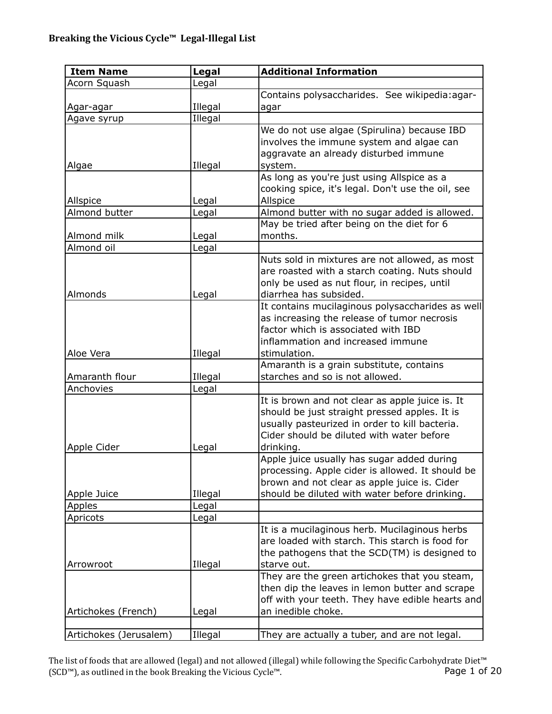| <b>Item Name</b>       | <b>Legal</b> | <b>Additional Information</b>                                                                   |
|------------------------|--------------|-------------------------------------------------------------------------------------------------|
| Acorn Squash           | Legal        |                                                                                                 |
|                        |              | Contains polysaccharides. See wikipedia:agar-                                                   |
| <u>Agar-agar</u>       | Illegal      | agar                                                                                            |
| Agave syrup            | Illegal      |                                                                                                 |
|                        |              | We do not use algae (Spirulina) because IBD                                                     |
|                        |              | involves the immune system and algae can                                                        |
|                        |              | aggravate an already disturbed immune                                                           |
| Algae                  | Illegal      | system.                                                                                         |
|                        |              | As long as you're just using Allspice as a                                                      |
|                        |              | cooking spice, it's legal. Don't use the oil, see                                               |
| Allspice               | Legal        | Allspice                                                                                        |
| Almond butter          | Legal        | Almond butter with no sugar added is allowed.                                                   |
|                        |              | May be tried after being on the diet for 6                                                      |
| Almond milk            | Legal        | months.                                                                                         |
| Almond oil             | Legal        |                                                                                                 |
|                        |              | Nuts sold in mixtures are not allowed, as most                                                  |
|                        |              | are roasted with a starch coating. Nuts should                                                  |
|                        |              | only be used as nut flour, in recipes, until                                                    |
| Almonds                | Legal        | diarrhea has subsided.                                                                          |
|                        |              | It contains mucilaginous polysaccharides as well                                                |
|                        |              | as increasing the release of tumor necrosis                                                     |
|                        |              | factor which is associated with IBD                                                             |
|                        |              | inflammation and increased immune                                                               |
| Aloe Vera              | Illegal      | stimulation.                                                                                    |
|                        |              | Amaranth is a grain substitute, contains                                                        |
| Amaranth flour         | Illegal      | starches and so is not allowed.                                                                 |
| Anchovies              | Legal        |                                                                                                 |
|                        |              | It is brown and not clear as apple juice is. It                                                 |
|                        |              | should be just straight pressed apples. It is<br>usually pasteurized in order to kill bacteria. |
|                        |              | Cider should be diluted with water before                                                       |
| Apple Cider            | Legal        | drinking.                                                                                       |
|                        |              | Apple juice usually has sugar added during                                                      |
|                        |              | processing. Apple cider is allowed. It should be                                                |
|                        |              | brown and not clear as apple juice is. Cider                                                    |
| Apple Juice            | Illegal      | should be diluted with water before drinking.                                                   |
| <b>Apples</b>          | Legal        |                                                                                                 |
| Apricots               | Legal        |                                                                                                 |
|                        |              | It is a mucilaginous herb. Mucilaginous herbs                                                   |
|                        |              | are loaded with starch. This starch is food for                                                 |
|                        |              | the pathogens that the SCD(TM) is designed to                                                   |
| Arrowroot              | Illegal      | starve out.                                                                                     |
|                        |              | They are the green artichokes that you steam,                                                   |
|                        |              | then dip the leaves in lemon butter and scrape                                                  |
|                        |              | off with your teeth. They have edible hearts and                                                |
| Artichokes (French)    | Legal        | an inedible choke.                                                                              |
|                        |              |                                                                                                 |
| Artichokes (Jerusalem) | Illegal      | They are actually a tuber, and are not legal.                                                   |

The list of foods that are allowed (legal) and not allowed (illegal) while following the Specific Carbohydrate Diet™ (SCD™), as outlined in the book Breaking the Vicious Cycle™. Page 1 of 20 (SCD™), as outlined in the book Breaking the Vicious Cycle™.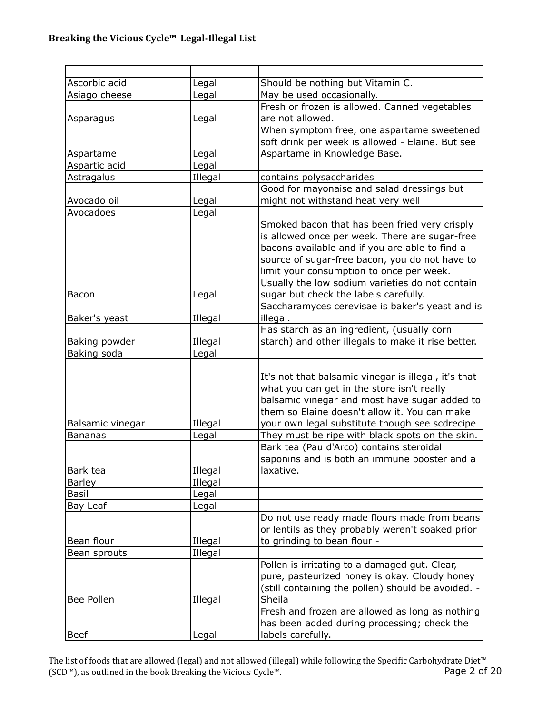| Ascorbic acid    | Legal   | Should be nothing but Vitamin C.                                                         |
|------------------|---------|------------------------------------------------------------------------------------------|
| Asiago cheese    | Legal   | May be used occasionally.                                                                |
|                  |         | Fresh or frozen is allowed. Canned vegetables                                            |
| Asparagus        | Legal   | are not allowed.                                                                         |
|                  |         | When symptom free, one aspartame sweetened                                               |
|                  |         | soft drink per week is allowed - Elaine. But see                                         |
| Aspartame        | Legal   | Aspartame in Knowledge Base.                                                             |
| Aspartic acid    | Legal   |                                                                                          |
| Astragalus       | Illegal | contains polysaccharides                                                                 |
|                  |         | Good for mayonaise and salad dressings but                                               |
| Avocado oil      | Legal   | might not withstand heat very well                                                       |
| Avocadoes        | Legal   |                                                                                          |
|                  |         | Smoked bacon that has been fried very crisply                                            |
|                  |         | is allowed once per week. There are sugar-free                                           |
|                  |         | bacons available and if you are able to find a                                           |
|                  |         | source of sugar-free bacon, you do not have to                                           |
|                  |         | limit your consumption to once per week.                                                 |
|                  |         | Usually the low sodium varieties do not contain                                          |
| Bacon            | Legal   | sugar but check the labels carefully.                                                    |
|                  |         | Saccharamyces cerevisae is baker's yeast and is                                          |
| Baker's yeast    | Illegal | illegal.                                                                                 |
|                  |         | Has starch as an ingredient, (usually corn                                               |
| Baking powder    | Illegal | starch) and other illegals to make it rise better.                                       |
| Baking soda      | Legal   |                                                                                          |
|                  |         |                                                                                          |
|                  |         | It's not that balsamic vinegar is illegal, it's that                                     |
|                  |         | what you can get in the store isn't really                                               |
|                  |         | balsamic vinegar and most have sugar added to                                            |
|                  |         | them so Elaine doesn't allow it. You can make                                            |
| Balsamic vinegar | Illegal | your own legal substitute though see scdrecipe                                           |
| <b>Bananas</b>   | Legal   | They must be ripe with black spots on the skin.                                          |
|                  |         | Bark tea (Pau d'Arco) contains steroidal<br>saponins and is both an immune booster and a |
| Bark tea         | Illegal | laxative.                                                                                |
| <b>Barley</b>    | Illegal |                                                                                          |
| Basil            | Legal   |                                                                                          |
| Bay Leaf         | Legal   |                                                                                          |
|                  |         | Do not use ready made flours made from beans                                             |
|                  |         | or lentils as they probably weren't soaked prior                                         |
| Bean flour       | Illegal | to grinding to bean flour -                                                              |
| Bean sprouts     | Illegal |                                                                                          |
|                  |         | Pollen is irritating to a damaged gut. Clear,                                            |
|                  |         | pure, pasteurized honey is okay. Cloudy honey                                            |
|                  |         | (still containing the pollen) should be avoided. -                                       |
| Bee Pollen       | Illegal | Sheila                                                                                   |
|                  |         | Fresh and frozen are allowed as long as nothing                                          |
|                  |         | has been added during processing; check the                                              |
| <b>Beef</b>      | Legal   | labels carefully.                                                                        |

The list of foods that are allowed (legal) and not allowed (illegal) while following the Specific Carbohydrate Diet™ (SCD™), as outlined in the book Breaking the Vicious Cycle™. Page 2 of 20 (SCD™), as outlined in the book Breaking the Vicious Cycle™.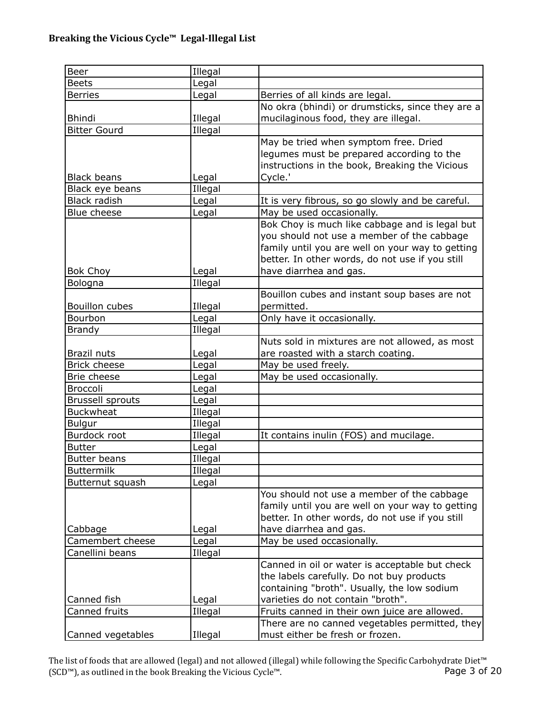| Beer                    | Illegal        |                                                  |
|-------------------------|----------------|--------------------------------------------------|
| <b>Beets</b>            | Legal          |                                                  |
| <b>Berries</b>          | Legal          | Berries of all kinds are legal.                  |
|                         |                | No okra (bhindi) or drumsticks, since they are a |
| <b>Bhindi</b>           | Illegal        | mucilaginous food, they are illegal.             |
| <b>Bitter Gourd</b>     | Illegal        |                                                  |
|                         |                | May be tried when symptom free. Dried            |
|                         |                | legumes must be prepared according to the        |
|                         |                | instructions in the book, Breaking the Vicious   |
| <b>Black beans</b>      | Legal          | Cycle.'                                          |
| Black eye beans         | Illegal        |                                                  |
| Black radish            | Legal          | It is very fibrous, so go slowly and be careful. |
| Blue cheese             | Legal          | May be used occasionally.                        |
|                         |                | Bok Choy is much like cabbage and is legal but   |
|                         |                | you should not use a member of the cabbage       |
|                         |                | family until you are well on your way to getting |
|                         |                | better. In other words, do not use if you still  |
| <b>Bok Choy</b>         | Legal          | have diarrhea and gas.                           |
| Bologna                 | Illegal        |                                                  |
|                         |                | Bouillon cubes and instant soup bases are not    |
| Bouillon cubes          | Illegal        | permitted.                                       |
| Bourbon                 | Legal          | Only have it occasionally.                       |
| <b>Brandy</b>           | Illegal        |                                                  |
|                         |                | Nuts sold in mixtures are not allowed, as most   |
| Brazil nuts             | Legal          | are roasted with a starch coating.               |
| <b>Brick cheese</b>     | Legal          | May be used freely.                              |
| Brie cheese             | Legal          | May be used occasionally.                        |
| <b>Broccoli</b>         | Legal          |                                                  |
| <b>Brussell sprouts</b> | Legal          |                                                  |
| <b>Buckwheat</b>        | Illegal        |                                                  |
| <b>Bulgur</b>           | Illegal        |                                                  |
| Burdock root            | Illegal        | It contains inulin (FOS) and mucilage.           |
| <b>Butter</b>           | Legal          |                                                  |
| <b>Butter beans</b>     | Illegal        |                                                  |
| <b>Buttermilk</b>       | <b>Illegal</b> |                                                  |
| Butternut squash        | Legal          |                                                  |
|                         |                | You should not use a member of the cabbage       |
|                         |                | family until you are well on your way to getting |
|                         |                | better. In other words, do not use if you still  |
| Cabbage                 | Legal          | have diarrhea and gas.                           |
| Camembert cheese        | Legal          | May be used occasionally.                        |
| Canellini beans         | Illegal        |                                                  |
|                         |                | Canned in oil or water is acceptable but check   |
|                         |                | the labels carefully. Do not buy products        |
|                         |                | containing "broth". Usually, the low sodium      |
| Canned fish             | Legal          | varieties do not contain "broth".                |
| Canned fruits           | Illegal        | Fruits canned in their own juice are allowed.    |
|                         |                | There are no canned vegetables permitted, they   |
| Canned vegetables       | Illegal        | must either be fresh or frozen.                  |

The list of foods that are allowed (legal) and not allowed (illegal) while following the Specific Carbohydrate Diet™ (SCD™), as outlined in the book Breaking the Vicious Cycle™. Page 3 of 20 (SCD™), as outlined in the book Breaking the Vicious Cycle™.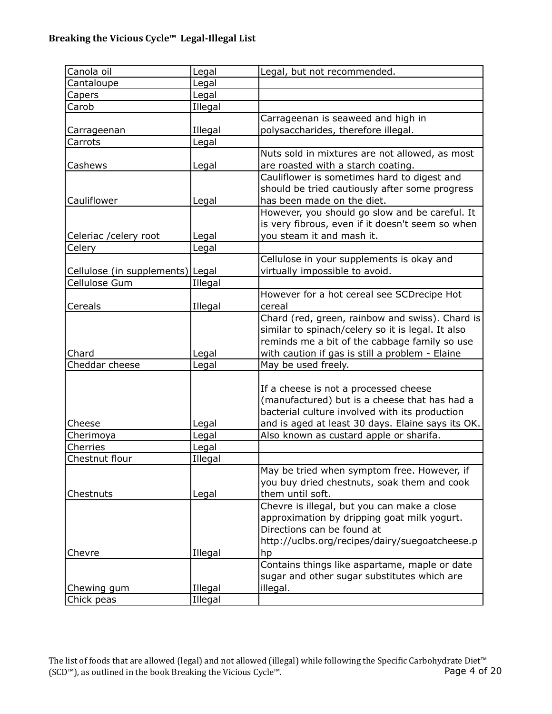| Canola oil                       | Legal   | Legal, but not recommended.                       |
|----------------------------------|---------|---------------------------------------------------|
| Cantaloupe                       | Legal   |                                                   |
| Capers                           | Legal   |                                                   |
| Carob                            | Illegal |                                                   |
|                                  |         | Carrageenan is seaweed and high in                |
| Carrageenan                      | Illegal | polysaccharides, therefore illegal.               |
| Carrots                          | Legal   |                                                   |
|                                  |         | Nuts sold in mixtures are not allowed, as most    |
| Cashews                          | Legal   | are roasted with a starch coating.                |
|                                  |         | Cauliflower is sometimes hard to digest and       |
|                                  |         | should be tried cautiously after some progress    |
| Cauliflower                      | Legal   | has been made on the diet.                        |
|                                  |         | However, you should go slow and be careful. It    |
|                                  |         | is very fibrous, even if it doesn't seem so when  |
| Celeriac / celery root           | Legal   | you steam it and mash it.                         |
| Celery                           | Legal   |                                                   |
|                                  |         | Cellulose in your supplements is okay and         |
| Cellulose (in supplements) Legal |         | virtually impossible to avoid.                    |
| Cellulose Gum                    | Illegal |                                                   |
|                                  |         | However for a hot cereal see SCDrecipe Hot        |
| Cereals                          | Illegal | cereal                                            |
|                                  |         | Chard (red, green, rainbow and swiss). Chard is   |
|                                  |         | similar to spinach/celery so it is legal. It also |
|                                  |         | reminds me a bit of the cabbage family so use     |
| Chard                            | Legal   | with caution if gas is still a problem - Elaine   |
| Cheddar cheese                   | Legal   | May be used freely.                               |
|                                  |         |                                                   |
|                                  |         | If a cheese is not a processed cheese             |
|                                  |         | (manufactured) but is a cheese that has had a     |
|                                  |         | bacterial culture involved with its production    |
| Cheese                           | Legal   | and is aged at least 30 days. Elaine says its OK. |
| Cherimoya                        | Legal   | Also known as custard apple or sharifa.           |
| Cherries                         | Legal   |                                                   |
| Chestnut flour                   | Illegal |                                                   |
|                                  |         | May be tried when symptom free. However, if       |
|                                  |         | you buy dried chestnuts, soak them and cook       |
| Chestnuts                        | Legal   | them until soft.                                  |
|                                  |         | Chevre is illegal, but you can make a close       |
|                                  |         | approximation by dripping goat milk yogurt.       |
|                                  |         | Directions can be found at                        |
|                                  |         | http://uclbs.org/recipes/dairy/suegoatcheese.p    |
| Chevre                           | Illegal | hp                                                |
|                                  |         | Contains things like aspartame, maple or date     |
|                                  |         | sugar and other sugar substitutes which are       |
|                                  |         |                                                   |
| Chewing gum                      | Illegal | illegal.                                          |
| Chick peas                       | Illegal |                                                   |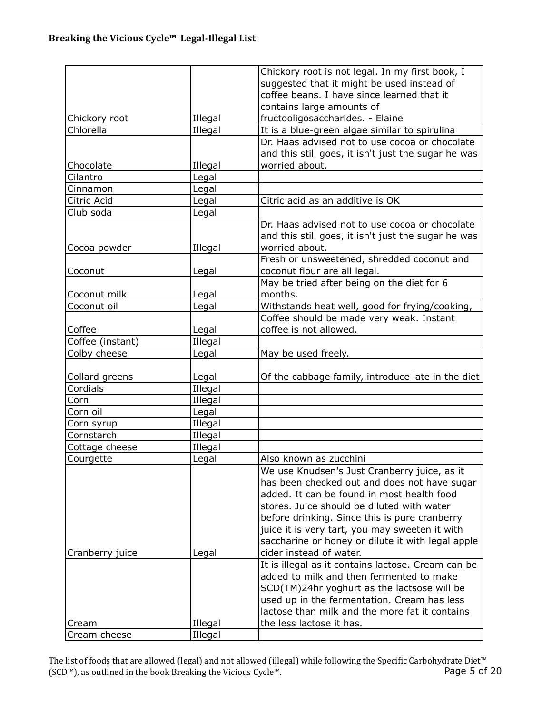| Cream cheese            | Illegal        |                                                                                                |
|-------------------------|----------------|------------------------------------------------------------------------------------------------|
| Cream                   | Illegal        | the less lactose it has.                                                                       |
|                         |                | lactose than milk and the more fat it contains                                                 |
|                         |                | used up in the fermentation. Cream has less                                                    |
|                         |                | SCD(TM)24hr yoghurt as the lactsose will be                                                    |
|                         |                | It is illegal as it contains lactose. Cream can be<br>added to milk and then fermented to make |
| Cranberry juice         | Legal          | cider instead of water.                                                                        |
|                         |                | saccharine or honey or dilute it with legal apple                                              |
|                         |                | juice it is very tart, you may sweeten it with                                                 |
|                         |                | before drinking. Since this is pure cranberry                                                  |
|                         |                | stores. Juice should be diluted with water                                                     |
|                         |                | added. It can be found in most health food                                                     |
|                         |                | has been checked out and does not have sugar                                                   |
|                         |                | We use Knudsen's Just Cranberry juice, as it                                                   |
| Courgette               | Legal          | Also known as zucchini                                                                         |
| Cottage cheese          | Illegal        |                                                                                                |
| Cornstarch              | Illegal        |                                                                                                |
| Corn syrup              | Illegal        |                                                                                                |
| Corn oil                | Legal          |                                                                                                |
| Corn                    | Illegal        |                                                                                                |
| Cordials                | Illegal        |                                                                                                |
| Collard greens          | Legal          | Of the cabbage family, introduce late in the diet                                              |
|                         |                |                                                                                                |
| Colby cheese            | Legal          | May be used freely.                                                                            |
| Coffee (instant)        | Illegal        |                                                                                                |
| Coffee                  | Legal          | coffee is not allowed.                                                                         |
|                         |                | Coffee should be made very weak. Instant                                                       |
| Coconut oil             | Legal          | Withstands heat well, good for frying/cooking,                                                 |
| Coconut milk            | Legal          | months.                                                                                        |
|                         |                | May be tried after being on the diet for 6                                                     |
| Coconut                 | Legal          | coconut flour are all legal.                                                                   |
|                         |                | Fresh or unsweetened, shredded coconut and                                                     |
| Cocoa powder            | Illegal        | worried about.                                                                                 |
|                         |                | and this still goes, it isn't just the sugar he was                                            |
|                         |                | Dr. Haas advised not to use cocoa or chocolate                                                 |
| Club soda               | Legal<br>Legal | Citric acid as an additive is OK                                                               |
| Cinnamon<br>Citric Acid | Legal          |                                                                                                |
| Cilantro                | Legal          |                                                                                                |
| Chocolate               | Illegal        | worried about.                                                                                 |
|                         |                | and this still goes, it isn't just the sugar he was                                            |
|                         |                | Dr. Haas advised not to use cocoa or chocolate                                                 |
| Chlorella               | Illegal        | It is a blue-green algae similar to spirulina                                                  |
| Chickory root           | Illegal        | fructooligosaccharides. - Elaine                                                               |
|                         |                | contains large amounts of                                                                      |
|                         |                | coffee beans. I have since learned that it                                                     |
|                         |                | suggested that it might be used instead of                                                     |
|                         |                | Chickory root is not legal. In my first book, I                                                |
|                         |                |                                                                                                |

The list of foods that are allowed (legal) and not allowed (illegal) while following the Specific Carbohydrate Diet™ (SCD™), as outlined in the book Breaking the Vicious Cycle™. Page 5 of 20 (SCD™), as outlined in the book Breaking the Vicious Cycle™.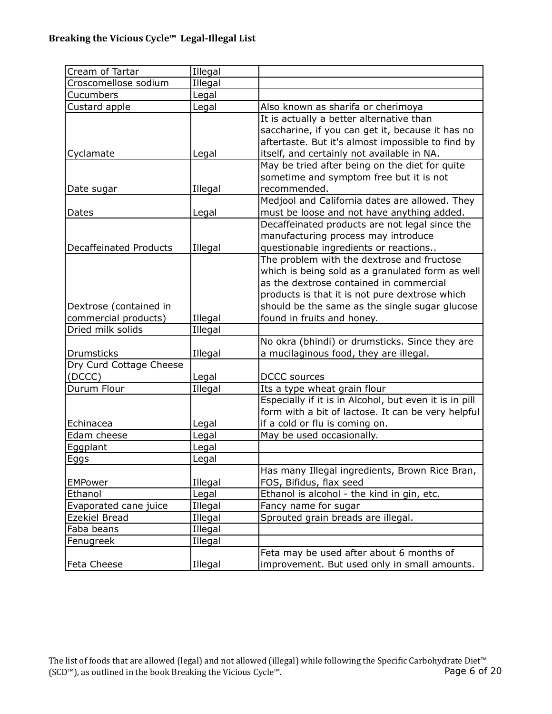| Cream of Tartar               | Illegal |                                                        |
|-------------------------------|---------|--------------------------------------------------------|
| Croscomellose sodium          | Illegal |                                                        |
| Cucumbers                     | Legal   |                                                        |
| Custard apple                 | Legal   | Also known as sharifa or cherimoya                     |
|                               |         | It is actually a better alternative than               |
|                               |         | saccharine, if you can get it, because it has no       |
|                               |         | aftertaste. But it's almost impossible to find by      |
| Cyclamate                     | Legal   | itself, and certainly not available in NA.             |
|                               |         | May be tried after being on the diet for quite         |
|                               |         | sometime and symptom free but it is not                |
| Date sugar                    | Illegal | recommended.                                           |
|                               |         | Medjool and California dates are allowed. They         |
| Dates                         | Legal   | must be loose and not have anything added.             |
|                               |         | Decaffeinated products are not legal since the         |
|                               |         | manufacturing process may introduce                    |
| <b>Decaffeinated Products</b> | Illegal | questionable ingredients or reactions                  |
|                               |         | The problem with the dextrose and fructose             |
|                               |         | which is being sold as a granulated form as well       |
|                               |         | as the dextrose contained in commercial                |
|                               |         | products is that it is not pure dextrose which         |
| Dextrose (contained in        |         | should be the same as the single sugar glucose         |
| commercial products)          | Illegal | found in fruits and honey.                             |
| Dried milk solids             | Illegal |                                                        |
|                               |         | No okra (bhindi) or drumsticks. Since they are         |
| <b>Drumsticks</b>             | Illegal | a mucilaginous food, they are illegal.                 |
| Dry Curd Cottage Cheese       |         |                                                        |
| (DCCC)                        | Legal   | <b>DCCC</b> sources                                    |
| Durum Flour                   | Illegal | Its a type wheat grain flour                           |
|                               |         | Especially if it is in Alcohol, but even it is in pill |
|                               |         | form with a bit of lactose. It can be very helpful     |
| Echinacea                     | Legal   | if a cold or flu is coming on.                         |
| Edam cheese                   | Legal   | May be used occasionally.                              |
| Eggplant                      | Legal   |                                                        |
| <u>Eggs</u>                   | Legal   |                                                        |
|                               |         | Has many Illegal ingredients, Brown Rice Bran,         |
| <b>EMPower</b>                | Illegal | FOS, Bifidus, flax seed                                |
| Ethanol                       | Legal   | Ethanol is alcohol - the kind in gin, etc.             |
| Evaporated cane juice         | Illegal | Fancy name for sugar                                   |
| Ezekiel Bread                 | Illegal | Sprouted grain breads are illegal.                     |
| Faba beans                    | Illegal |                                                        |
| Fenugreek                     | Illegal |                                                        |
|                               |         | Feta may be used after about 6 months of               |
| Feta Cheese                   | Illegal | improvement. But used only in small amounts.           |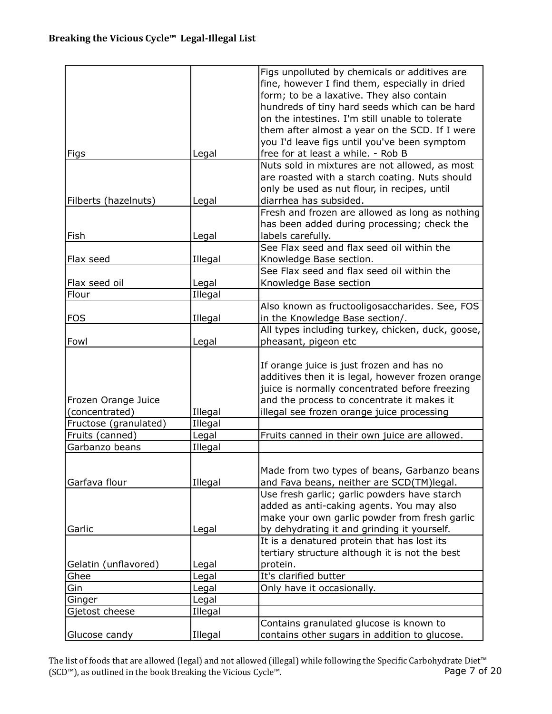|                       |         | Figs unpolluted by chemicals or additives are     |
|-----------------------|---------|---------------------------------------------------|
|                       |         | fine, however I find them, especially in dried    |
|                       |         | form; to be a laxative. They also contain         |
|                       |         | hundreds of tiny hard seeds which can be hard     |
|                       |         | on the intestines. I'm still unable to tolerate   |
|                       |         | them after almost a year on the SCD. If I were    |
|                       |         | you I'd leave figs until you've been symptom      |
| Figs                  | Legal   | free for at least a while. - Rob B                |
|                       |         | Nuts sold in mixtures are not allowed, as most    |
|                       |         | are roasted with a starch coating. Nuts should    |
|                       |         | only be used as nut flour, in recipes, until      |
| Filberts (hazelnuts)  | Legal   | diarrhea has subsided.                            |
|                       |         | Fresh and frozen are allowed as long as nothing   |
|                       |         | has been added during processing; check the       |
| Fish                  | Legal   | labels carefully.                                 |
|                       |         | See Flax seed and flax seed oil within the        |
| Flax seed             | Illegal | Knowledge Base section.                           |
|                       |         | See Flax seed and flax seed oil within the        |
| Flax seed oil         | Legal   | Knowledge Base section                            |
| Flour                 | Illegal |                                                   |
|                       |         | Also known as fructooligosaccharides. See, FOS    |
| <b>FOS</b>            | Illegal | in the Knowledge Base section/.                   |
|                       |         | All types including turkey, chicken, duck, goose, |
| Fowl                  |         | pheasant, pigeon etc                              |
|                       | Legal   |                                                   |
|                       |         |                                                   |
|                       |         | If orange juice is just frozen and has no         |
|                       |         | additives then it is legal, however frozen orange |
|                       |         | juice is normally concentrated before freezing    |
| Frozen Orange Juice   |         | and the process to concentrate it makes it        |
| (concentrated)        | Illegal | illegal see frozen orange juice processing        |
| Fructose (granulated) | Illegal |                                                   |
| Fruits (canned)       | Legal   | Fruits canned in their own juice are allowed.     |
| Garbanzo beans        | Illegal |                                                   |
|                       |         |                                                   |
|                       |         | Made from two types of beans, Garbanzo beans      |
| Garfava flour         | Illegal | and Fava beans, neither are SCD(TM)legal.         |
|                       |         | Use fresh garlic; garlic powders have starch      |
|                       |         | added as anti-caking agents. You may also         |
|                       |         | make your own garlic powder from fresh garlic     |
| Garlic                | Legal   | by dehydrating it and grinding it yourself.       |
|                       |         | It is a denatured protein that has lost its       |
|                       |         | tertiary structure although it is not the best    |
| Gelatin (unflavored)  | Legal   | protein.                                          |
| Ghee                  | Legal   | It's clarified butter                             |
| Gin                   | Legal   | Only have it occasionally.                        |
| Ginger                | Legal   |                                                   |
| Gjetost cheese        | Illegal |                                                   |
|                       |         | Contains granulated glucose is known to           |
| Glucose candy         | Illegal | contains other sugars in addition to glucose.     |

The list of foods that are allowed (legal) and not allowed (illegal) while following the Specific Carbohydrate Diet™ (SCD™), as outlined in the book Breaking the Vicious Cycle™. Page 7 of 20 (SCD™), as outlined in the book Breaking the Vicious Cycle™.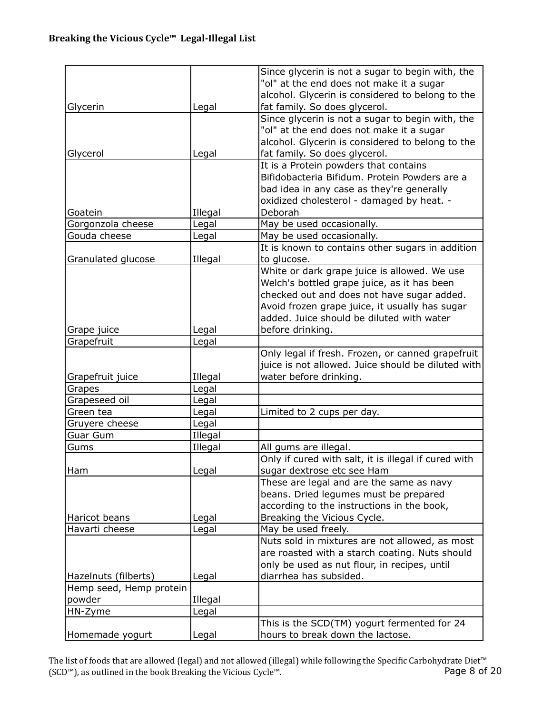|                         |         | Since glycerin is not a sugar to begin with, the     |
|-------------------------|---------|------------------------------------------------------|
|                         |         | "ol" at the end does not make it a sugar             |
|                         |         |                                                      |
|                         |         | alcohol. Glycerin is considered to belong to the     |
| Glycerin                | Legal   | fat family. So does glycerol.                        |
|                         |         | Since glycerin is not a sugar to begin with, the     |
|                         |         | "ol" at the end does not make it a sugar             |
|                         |         | alcohol. Glycerin is considered to belong to the     |
| Glycerol                | Legal   | fat family. So does glycerol.                        |
|                         |         | It is a Protein powders that contains                |
|                         |         | Bifidobacteria Bifidum. Protein Powders are a        |
|                         |         | bad idea in any case as they're generally            |
|                         |         | oxidized cholesterol - damaged by heat. -            |
| Goatein                 | Illegal | Deborah                                              |
| Gorgonzola cheese       | Legal   | May be used occasionally.                            |
| Gouda cheese            | Legal   | May be used occasionally.                            |
|                         |         | It is known to contains other sugars in addition     |
| Granulated glucose      | Illegal | to glucose.                                          |
|                         |         | White or dark grape juice is allowed. We use         |
|                         |         | Welch's bottled grape juice, as it has been          |
|                         |         | checked out and does not have sugar added.           |
|                         |         | Avoid frozen grape juice, it usually has sugar       |
|                         |         | added. Juice should be diluted with water            |
| Grape juice             | Legal   | before drinking.                                     |
| Grapefruit              | Legal   |                                                      |
|                         |         | Only legal if fresh. Frozen, or canned grapefruit    |
|                         |         | juice is not allowed. Juice should be diluted with   |
|                         |         |                                                      |
| Grapefruit juice        | Illegal | water before drinking.                               |
| Grapes                  | Legal   |                                                      |
| Grapeseed oil           | Legal   |                                                      |
| Green tea               | Legal   | Limited to 2 cups per day.                           |
| Gruyere cheese          | Legal   |                                                      |
| Guar Gum                | Illegal |                                                      |
| Gums                    | Illegal | All gums are illegal.                                |
|                         |         | Only if cured with salt, it is illegal if cured with |
| Ham                     | Legal   | sugar dextrose etc see Ham                           |
|                         |         | These are legal and are the same as navy             |
|                         |         | beans. Dried legumes must be prepared                |
|                         |         | according to the instructions in the book,           |
| Haricot beans           | Legal   | Breaking the Vicious Cycle.                          |
| Havarti cheese          | Legal   | May be used freely.                                  |
|                         |         | Nuts sold in mixtures are not allowed, as most       |
|                         |         | are roasted with a starch coating. Nuts should       |
|                         |         | only be used as nut flour, in recipes, until         |
| Hazelnuts (filberts)    | Legal   | diarrhea has subsided.                               |
| Hemp seed, Hemp protein |         |                                                      |
| powder                  | Illegal |                                                      |
| HN-Zyme                 | Legal   |                                                      |
|                         |         | This is the SCD(TM) yogurt fermented for 24          |
| Homemade yogurt         | Legal   | hours to break down the lactose.                     |

The list of foods that are allowed (legal) and not allowed (illegal) while following the Specific Carbohydrate Diet™<br>(SCD™), as outlined in the book Breaking the Vicious Cycle™. Page 8 of 20 (SCD™), as outlined in the book Breaking the Vicious Cycle™.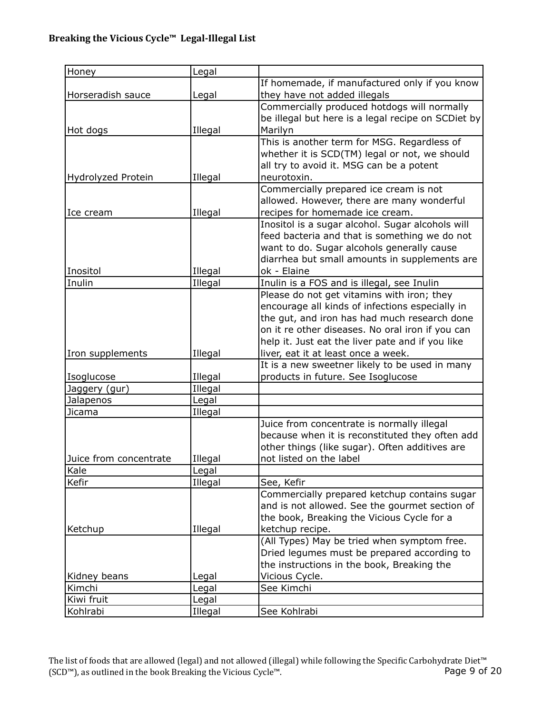| Honey                  | Legal   |                                                    |
|------------------------|---------|----------------------------------------------------|
|                        |         | If homemade, if manufactured only if you know      |
| Horseradish sauce      | Legal   | they have not added illegals                       |
|                        |         | Commercially produced hotdogs will normally        |
|                        |         | be illegal but here is a legal recipe on SCDiet by |
| Hot dogs               | Illegal | Marilyn                                            |
|                        |         | This is another term for MSG. Regardless of        |
|                        |         | whether it is SCD(TM) legal or not, we should      |
|                        |         | all try to avoid it. MSG can be a potent           |
| Hydrolyzed Protein     | Illegal | neurotoxin.                                        |
|                        |         | Commercially prepared ice cream is not             |
|                        |         | allowed. However, there are many wonderful         |
| Ice cream              | Illegal | recipes for homemade ice cream.                    |
|                        |         | Inositol is a sugar alcohol. Sugar alcohols will   |
|                        |         | feed bacteria and that is something we do not      |
|                        |         | want to do. Sugar alcohols generally cause         |
|                        |         | diarrhea but small amounts in supplements are      |
| Inositol               | Illegal | ok - Elaine                                        |
| Inulin                 | Illegal | Inulin is a FOS and is illegal, see Inulin         |
|                        |         | Please do not get vitamins with iron; they         |
|                        |         | encourage all kinds of infections especially in    |
|                        |         | the gut, and iron has had much research done       |
|                        |         | on it re other diseases. No oral iron if you can   |
|                        |         | help it. Just eat the liver pate and if you like   |
| Iron supplements       | Illegal | liver, eat it at least once a week.                |
|                        |         | It is a new sweetner likely to be used in many     |
| Isoglucose             | Illegal | products in future. See Isoglucose                 |
| Jaggery (gur)          | Illegal |                                                    |
| Jalapenos              | Legal   |                                                    |
| Jicama                 | Illegal |                                                    |
|                        |         | Juice from concentrate is normally illegal         |
|                        |         | because when it is reconstituted they often add    |
|                        |         | other things (like sugar). Often additives are     |
| Juice from concentrate | Illegal | not listed on the label                            |
| Kale                   | Legal   |                                                    |
| Kefir                  | Illegal | See, Kefir                                         |
|                        |         | Commercially prepared ketchup contains sugar       |
|                        |         | and is not allowed. See the gourmet section of     |
|                        |         | the book, Breaking the Vicious Cycle for a         |
| Ketchup                | Illegal | ketchup recipe.                                    |
|                        |         | (All Types) May be tried when symptom free.        |
|                        |         | Dried legumes must be prepared according to        |
|                        |         | the instructions in the book, Breaking the         |
| Kidney beans           | Legal   | Vicious Cycle.                                     |
| Kimchi                 | Legal   | See Kimchi                                         |
| Kiwi fruit             | Legal   |                                                    |
| Kohlrabi               | Illegal | See Kohlrabi                                       |

The list of foods that are allowed (legal) and not allowed (illegal) while following the Specific Carbohydrate Diet™ (SCD™), as outlined in the book Breaking the Vicious Cycle™. Page 9 of 20 (SCD™), as outlined in the book Breaking the Vicious Cycle™.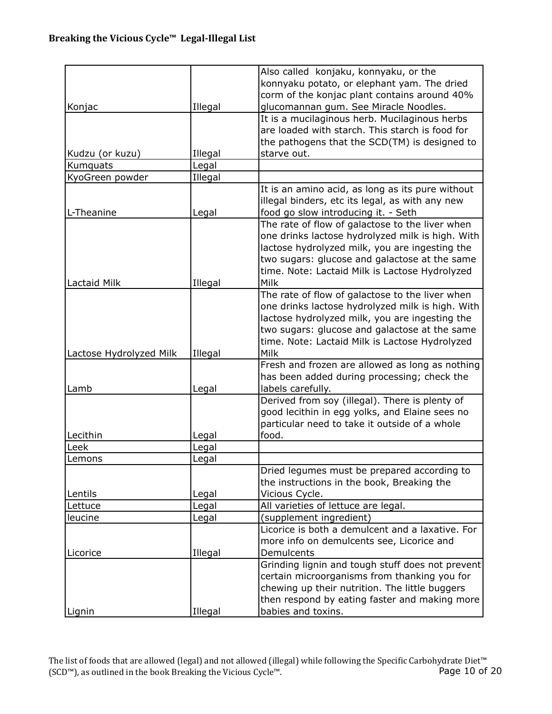|                         |         | Also called konjaku, konnyaku, or the            |
|-------------------------|---------|--------------------------------------------------|
|                         |         | konnyaku potato, or elephant yam. The dried      |
|                         |         | corm of the konjac plant contains around 40%     |
| Konjac                  | Illegal | glucomannan gum. See Miracle Noodles.            |
|                         |         | It is a mucilaginous herb. Mucilaginous herbs    |
|                         |         | are loaded with starch. This starch is food for  |
|                         |         | the pathogens that the SCD(TM) is designed to    |
| Kudzu (or kuzu)         | Illegal | starve out.                                      |
| Kumquats                | Legal   |                                                  |
| KyoGreen powder         | Illegal |                                                  |
|                         |         | It is an amino acid, as long as its pure without |
|                         |         | illegal binders, etc its legal, as with any new  |
| L-Theanine              | Legal   | food go slow introducing it. - Seth              |
|                         |         | The rate of flow of galactose to the liver when  |
|                         |         | one drinks lactose hydrolyzed milk is high. With |
|                         |         | lactose hydrolyzed milk, you are ingesting the   |
|                         |         | two sugars: glucose and galactose at the same    |
|                         |         | time. Note: Lactaid Milk is Lactose Hydrolyzed   |
| Lactaid Milk            | Illegal | Milk                                             |
|                         |         | The rate of flow of galactose to the liver when  |
|                         |         | one drinks lactose hydrolyzed milk is high. With |
|                         |         | lactose hydrolyzed milk, you are ingesting the   |
|                         |         | two sugars: glucose and galactose at the same    |
|                         |         | time. Note: Lactaid Milk is Lactose Hydrolyzed   |
| Lactose Hydrolyzed Milk | Illegal | Milk                                             |
|                         |         | Fresh and frozen are allowed as long as nothing  |
|                         |         | has been added during processing; check the      |
| Lamb                    | Legal   | labels carefully.                                |
|                         |         | Derived from soy (illegal). There is plenty of   |
|                         |         | good lecithin in egg yolks, and Elaine sees no   |
|                         |         | particular need to take it outside of a whole    |
| Lecithin                | Legal   | food.                                            |
| Leek                    | Legal   |                                                  |
| Lemons                  | Legal   |                                                  |
|                         |         | Dried legumes must be prepared according to      |
|                         |         | the instructions in the book, Breaking the       |
| Lentils                 | Legal   | Vicious Cycle.                                   |
| Lettuce                 | Legal   | All varieties of lettuce are legal.              |
| leucine                 | Legal   | (supplement ingredient)                          |
|                         |         | Licorice is both a demulcent and a laxative. For |
|                         |         | more info on demulcents see, Licorice and        |
| Licorice                | Illegal | Demulcents                                       |
|                         |         | Grinding lignin and tough stuff does not prevent |
|                         |         | certain microorganisms from thanking you for     |
|                         |         | chewing up their nutrition. The little buggers   |
|                         |         | then respond by eating faster and making more    |
| Lignin                  | Illegal | babies and toxins.                               |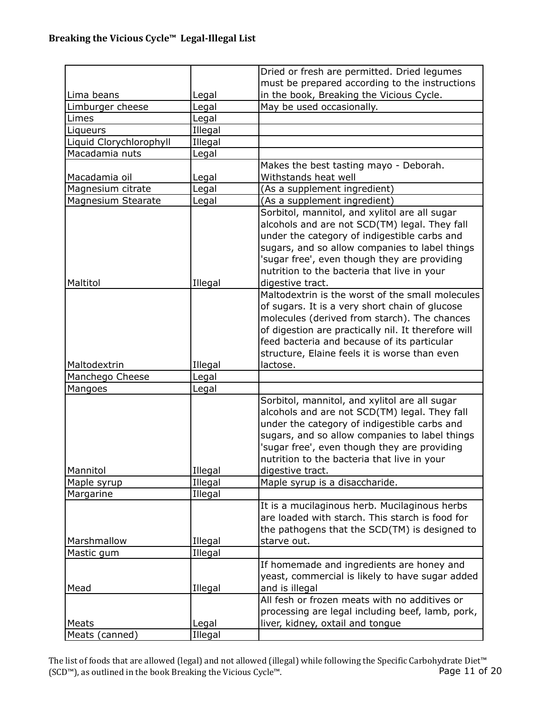|                         |                    | Dried or fresh are permitted. Dried legumes                                                                                                                                                                                                                                                                           |
|-------------------------|--------------------|-----------------------------------------------------------------------------------------------------------------------------------------------------------------------------------------------------------------------------------------------------------------------------------------------------------------------|
|                         |                    | must be prepared according to the instructions                                                                                                                                                                                                                                                                        |
| Lima beans              | Legal              | in the book, Breaking the Vicious Cycle.                                                                                                                                                                                                                                                                              |
| Limburger cheese        | Legal              | May be used occasionally.                                                                                                                                                                                                                                                                                             |
| Limes                   | Legal              |                                                                                                                                                                                                                                                                                                                       |
| Liqueurs                | Illegal            |                                                                                                                                                                                                                                                                                                                       |
| Liquid Clorychlorophyll | Illegal            |                                                                                                                                                                                                                                                                                                                       |
| Macadamia nuts          | Legal              |                                                                                                                                                                                                                                                                                                                       |
|                         |                    | Makes the best tasting mayo - Deborah.                                                                                                                                                                                                                                                                                |
| Macadamia oil           | Legal              | Withstands heat well                                                                                                                                                                                                                                                                                                  |
| Magnesium citrate       | Legal              | (As a supplement ingredient)                                                                                                                                                                                                                                                                                          |
| Magnesium Stearate      | Legal              | (As a supplement ingredient)                                                                                                                                                                                                                                                                                          |
| Maltitol                | Illegal            | Sorbitol, mannitol, and xylitol are all sugar<br>alcohols and are not SCD(TM) legal. They fall<br>under the category of indigestible carbs and<br>sugars, and so allow companies to label things<br>'sugar free', even though they are providing<br>nutrition to the bacteria that live in your<br>digestive tract.   |
| Maltodextrin            | Illegal            | Maltodextrin is the worst of the small molecules<br>of sugars. It is a very short chain of glucose<br>molecules (derived from starch). The chances<br>of digestion are practically nil. It therefore will<br>feed bacteria and because of its particular<br>structure, Elaine feels it is worse than even<br>lactose. |
| Manchego Cheese         | Legal              |                                                                                                                                                                                                                                                                                                                       |
| Mangoes                 | Legal              |                                                                                                                                                                                                                                                                                                                       |
| Mannitol                | Illegal            | Sorbitol, mannitol, and xylitol are all sugar<br>alcohols and are not SCD(TM) legal. They fall<br>under the category of indigestible carbs and<br>sugars, and so allow companies to label things<br>'sugar free', even though they are providing<br>nutrition to the bacteria that live in your<br>digestive tract.   |
| Maple syrup             | Illegal            | Maple syrup is a disaccharide.                                                                                                                                                                                                                                                                                        |
| Margarine               | Illegal            |                                                                                                                                                                                                                                                                                                                       |
|                         |                    | It is a mucilaginous herb. Mucilaginous herbs<br>are loaded with starch. This starch is food for<br>the pathogens that the SCD(TM) is designed to                                                                                                                                                                     |
| Marshmallow             | Illegal            | starve out.                                                                                                                                                                                                                                                                                                           |
| Mastic gum<br>Mead      | Illegal<br>Illegal | If homemade and ingredients are honey and<br>yeast, commercial is likely to have sugar added<br>and is illegal                                                                                                                                                                                                        |
|                         |                    | All fesh or frozen meats with no additives or<br>processing are legal including beef, lamb, pork,                                                                                                                                                                                                                     |
| Meats                   | Legal              | liver, kidney, oxtail and tongue                                                                                                                                                                                                                                                                                      |
| Meats (canned)          | Illegal            |                                                                                                                                                                                                                                                                                                                       |

The list of foods that are allowed (legal) and not allowed (illegal) while following the Specific Carbohydrate Diet™ (SCD™), as outlined in the book Breaking the Vicious Cycle™. Page 11 of 20 (SCD™), as outlined in the book Breaking the Vicious Cycle™.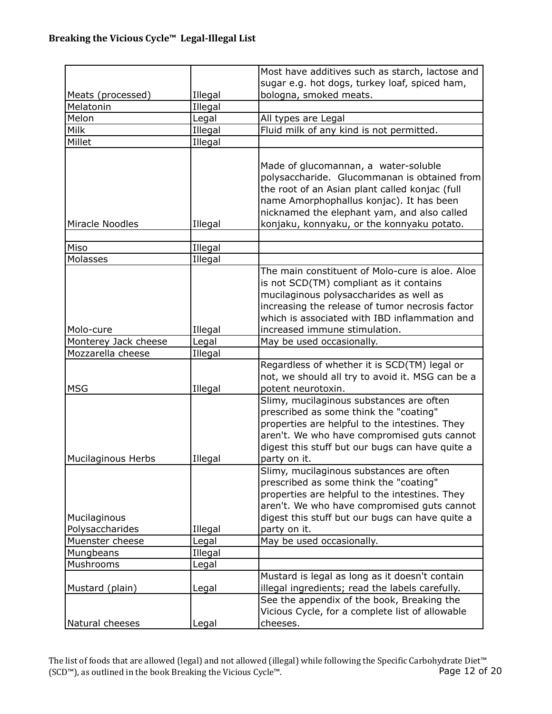|                      |         | Most have additives such as starch, lactose and                                                                                                                                                                                                                                 |
|----------------------|---------|---------------------------------------------------------------------------------------------------------------------------------------------------------------------------------------------------------------------------------------------------------------------------------|
|                      |         | sugar e.g. hot dogs, turkey loaf, spiced ham,                                                                                                                                                                                                                                   |
| Meats (processed)    | Illegal | bologna, smoked meats.                                                                                                                                                                                                                                                          |
| Melatonin            | Illegal |                                                                                                                                                                                                                                                                                 |
| Melon                | Legal   | All types are Legal                                                                                                                                                                                                                                                             |
| Milk                 | Illegal | Fluid milk of any kind is not permitted.                                                                                                                                                                                                                                        |
| Millet               | Illegal |                                                                                                                                                                                                                                                                                 |
|                      |         |                                                                                                                                                                                                                                                                                 |
| Miracle Noodles      | Illegal | Made of glucomannan, a water-soluble<br>polysaccharide. Glucommanan is obtained from<br>the root of an Asian plant called konjac (full<br>name Amorphophallus konjac). It has been<br>nicknamed the elephant yam, and also called<br>konjaku, konnyaku, or the konnyaku potato. |
| Miso                 | Illegal |                                                                                                                                                                                                                                                                                 |
| Molasses             | Illegal |                                                                                                                                                                                                                                                                                 |
| Molo-cure            | Illegal | The main constituent of Molo-cure is aloe. Aloe<br>is not SCD(TM) compliant as it contains<br>mucilaginous polysaccharides as well as<br>increasing the release of tumor necrosis factor<br>which is associated with IBD inflammation and<br>increased immune stimulation.      |
| Monterey Jack cheese | Legal   | May be used occasionally.                                                                                                                                                                                                                                                       |
| Mozzarella cheese    | Illegal |                                                                                                                                                                                                                                                                                 |
| <b>MSG</b>           | Illegal | Regardless of whether it is SCD(TM) legal or<br>not, we should all try to avoid it. MSG can be a<br>potent neurotoxin.                                                                                                                                                          |
| Mucilaginous Herbs   | Illegal | Slimy, mucilaginous substances are often<br>prescribed as some think the "coating"<br>properties are helpful to the intestines. They<br>aren't. We who have compromised guts cannot<br>digest this stuff but our bugs can have quite a<br>party on it.                          |
| Mucilaginous         |         | Slimy, mucilaginous substances are often<br>prescribed as some think the "coating"<br>properties are helpful to the intestines. They<br>aren't. We who have compromised guts cannot<br>digest this stuff but our bugs can have quite a                                          |
| Polysaccharides      | Illegal | party on it.                                                                                                                                                                                                                                                                    |
| Muenster cheese      | Legal   | May be used occasionally.                                                                                                                                                                                                                                                       |
| Mungbeans            | Illegal |                                                                                                                                                                                                                                                                                 |
| Mushrooms            | Legal   |                                                                                                                                                                                                                                                                                 |
|                      |         | Mustard is legal as long as it doesn't contain                                                                                                                                                                                                                                  |
| Mustard (plain)      | Legal   | illegal ingredients; read the labels carefully.                                                                                                                                                                                                                                 |
|                      |         | See the appendix of the book, Breaking the<br>Vicious Cycle, for a complete list of allowable                                                                                                                                                                                   |
| Natural cheeses      | Legal   | cheeses.                                                                                                                                                                                                                                                                        |

The list of foods that are allowed (legal) and not allowed (illegal) while following the Specific Carbohydrate Diet™ (SCD™), as outlined in the book Breaking the Vicious Cycle™. Page 12 of 20 (SCD™), as outlined in the book Breaking the Vicious Cycle™.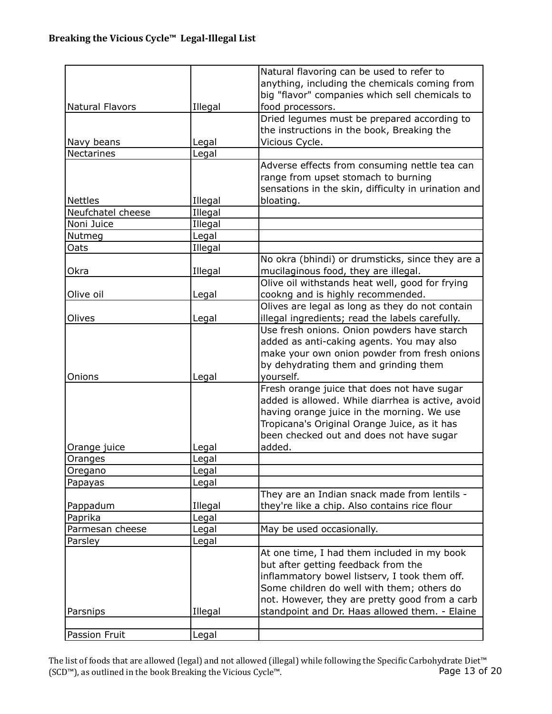| anything, including the chemicals coming from<br>big "flavor" companies which sell chemicals to<br>Natural Flavors<br>Illegal<br>food processors.<br>Dried legumes must be prepared according to |  |
|--------------------------------------------------------------------------------------------------------------------------------------------------------------------------------------------------|--|
|                                                                                                                                                                                                  |  |
|                                                                                                                                                                                                  |  |
|                                                                                                                                                                                                  |  |
|                                                                                                                                                                                                  |  |
| the instructions in the book, Breaking the                                                                                                                                                       |  |
| Vicious Cycle.<br>Navy beans<br>Legal                                                                                                                                                            |  |
| <b>Nectarines</b><br>Legal                                                                                                                                                                       |  |
| Adverse effects from consuming nettle tea can                                                                                                                                                    |  |
| range from upset stomach to burning                                                                                                                                                              |  |
| sensations in the skin, difficulty in urination and                                                                                                                                              |  |
| <b>Nettles</b><br>Illegal<br>bloating.                                                                                                                                                           |  |
| Illegal<br>Neufchatel cheese                                                                                                                                                                     |  |
| Illegal<br>Noni Juice                                                                                                                                                                            |  |
| Legal<br>Nutmeg                                                                                                                                                                                  |  |
| Illegal<br>Oats                                                                                                                                                                                  |  |
| No okra (bhindi) or drumsticks, since they are a                                                                                                                                                 |  |
| mucilaginous food, they are illegal.<br>Okra<br>Illegal                                                                                                                                          |  |
| Olive oil withstands heat well, good for frying                                                                                                                                                  |  |
| cookng and is highly recommended.<br>Olive oil<br>Legal                                                                                                                                          |  |
| Olives are legal as long as they do not contain                                                                                                                                                  |  |
| illegal ingredients; read the labels carefully.<br>Olives<br>Legal                                                                                                                               |  |
| Use fresh onions. Onion powders have starch                                                                                                                                                      |  |
| added as anti-caking agents. You may also                                                                                                                                                        |  |
| make your own onion powder from fresh onions                                                                                                                                                     |  |
| by dehydrating them and grinding them                                                                                                                                                            |  |
| Onions<br>Legal<br>yourself.                                                                                                                                                                     |  |
| Fresh orange juice that does not have sugar                                                                                                                                                      |  |
| added is allowed. While diarrhea is active, avoid                                                                                                                                                |  |
| having orange juice in the morning. We use                                                                                                                                                       |  |
| Tropicana's Original Orange Juice, as it has                                                                                                                                                     |  |
| been checked out and does not have sugar<br>added.                                                                                                                                               |  |
| Orange juice<br>Legal                                                                                                                                                                            |  |
| Legal<br>Oranges<br>Legal                                                                                                                                                                        |  |
| Oregano<br>Papayas                                                                                                                                                                               |  |
| Legal<br>They are an Indian snack made from lentils -                                                                                                                                            |  |
| they're like a chip. Also contains rice flour<br>Pappadum<br>Illegal                                                                                                                             |  |
| Paprika<br>Legal                                                                                                                                                                                 |  |
| Parmesan cheese<br>May be used occasionally.<br>Legal                                                                                                                                            |  |
| Parsley<br>Legal                                                                                                                                                                                 |  |
| At one time, I had them included in my book                                                                                                                                                      |  |
| but after getting feedback from the                                                                                                                                                              |  |
| inflammatory bowel listserv, I took them off.                                                                                                                                                    |  |
| Some children do well with them; others do                                                                                                                                                       |  |
| not. However, they are pretty good from a carb                                                                                                                                                   |  |
| standpoint and Dr. Haas allowed them. - Elaine<br>Illegal<br>Parsnips                                                                                                                            |  |
|                                                                                                                                                                                                  |  |
| Passion Fruit<br>Legal                                                                                                                                                                           |  |

The list of foods that are allowed (legal) and not allowed (illegal) while following the Specific Carbohydrate Diet™ (SCD™), as outlined in the book Breaking the Vicious Cycle™. Page 13 of 20 (SCD™), as outlined in the book Breaking the Vicious Cycle™.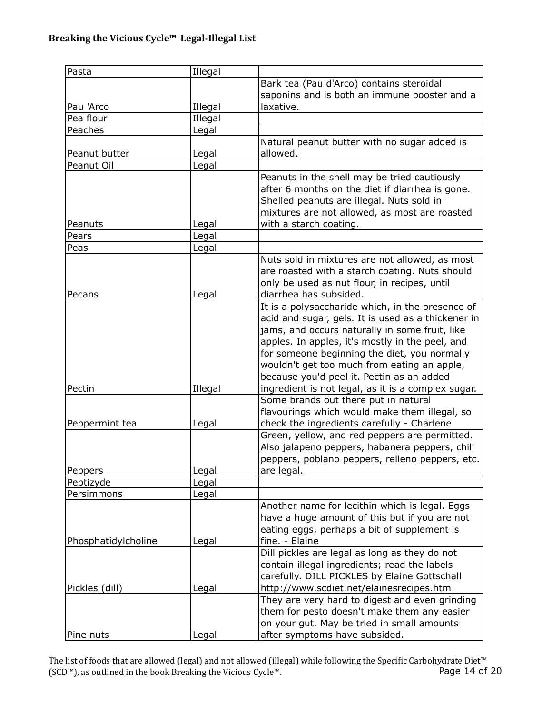| Pasta               | Illegal |                                                    |
|---------------------|---------|----------------------------------------------------|
|                     |         | Bark tea (Pau d'Arco) contains steroidal           |
|                     |         | saponins and is both an immune booster and a       |
| Pau 'Arco           | Illegal | laxative.                                          |
| Pea flour           | Illegal |                                                    |
| Peaches             | Legal   |                                                    |
|                     |         | Natural peanut butter with no sugar added is       |
| Peanut butter       | Legal   | allowed.                                           |
| Peanut Oil          | Legal   |                                                    |
|                     |         | Peanuts in the shell may be tried cautiously       |
|                     |         | after 6 months on the diet if diarrhea is gone.    |
|                     |         | Shelled peanuts are illegal. Nuts sold in          |
|                     |         | mixtures are not allowed, as most are roasted      |
|                     |         |                                                    |
| Peanuts             | Legal   | with a starch coating.                             |
| Pears               | Legal   |                                                    |
| Peas                | Legal   |                                                    |
|                     |         | Nuts sold in mixtures are not allowed, as most     |
|                     |         | are roasted with a starch coating. Nuts should     |
|                     |         | only be used as nut flour, in recipes, until       |
| Pecans              | Legal   | diarrhea has subsided.                             |
|                     |         | It is a polysaccharide which, in the presence of   |
|                     |         | acid and sugar, gels. It is used as a thickener in |
|                     |         | jams, and occurs naturally in some fruit, like     |
|                     |         | apples. In apples, it's mostly in the peel, and    |
|                     |         | for someone beginning the diet, you normally       |
|                     |         | wouldn't get too much from eating an apple,        |
|                     |         | because you'd peel it. Pectin as an added          |
| Pectin              | Illegal | ingredient is not legal, as it is a complex sugar. |
|                     |         | Some brands out there put in natural               |
|                     |         | flavourings which would make them illegal, so      |
| Peppermint tea      | Legal   | check the ingredients carefully - Charlene         |
|                     |         | Green, yellow, and red peppers are permitted.      |
|                     |         | Also jalapeno peppers, habanera peppers, chili     |
|                     |         | peppers, poblano peppers, relleno peppers, etc.    |
|                     |         |                                                    |
| Peppers             | Legal   | are legal.                                         |
| Peptizyde           | Legal   |                                                    |
| Persimmons          | Legal   |                                                    |
|                     |         | Another name for lecithin which is legal. Eggs     |
|                     |         | have a huge amount of this but if you are not      |
|                     |         | eating eggs, perhaps a bit of supplement is        |
| Phosphatidylcholine | Legal   | fine. - Elaine                                     |
|                     |         | Dill pickles are legal as long as they do not      |
|                     |         | contain illegal ingredients; read the labels       |
|                     |         | carefully. DILL PICKLES by Elaine Gottschall       |
| Pickles (dill)      | Legal   | http://www.scdiet.net/elainesrecipes.htm           |
|                     |         | They are very hard to digest and even grinding     |
|                     |         | them for pesto doesn't make them any easier        |
|                     |         | on your gut. May be tried in small amounts         |
| Pine nuts           | Legal   | after symptoms have subsided.                      |

The list of foods that are allowed (legal) and not allowed (illegal) while following the Specific Carbohydrate Diet™ (SCD™), as outlined in the book Breaking the Vicious Cycle™. Page 14 of 20 (SCD™), as outlined in the book Breaking the Vicious Cycle™.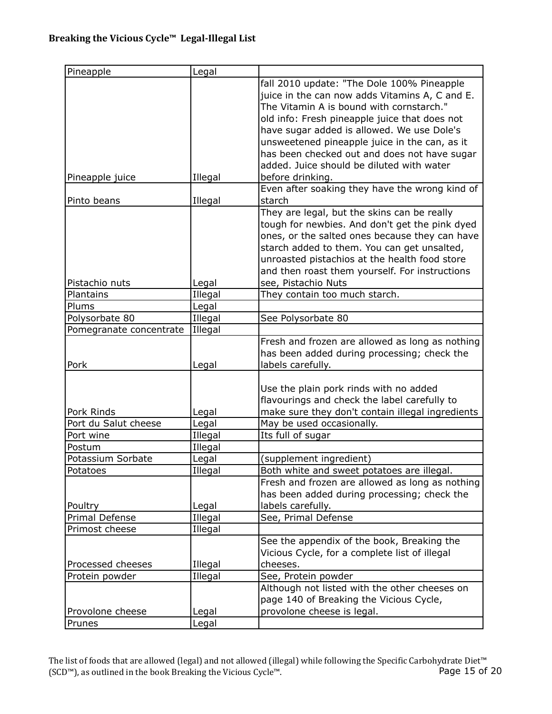| Pineapple               | Legal   |                                                  |
|-------------------------|---------|--------------------------------------------------|
|                         |         | fall 2010 update: "The Dole 100% Pineapple       |
|                         |         | juice in the can now adds Vitamins A, C and E.   |
|                         |         | The Vitamin A is bound with cornstarch."         |
|                         |         | old info: Fresh pineapple juice that does not    |
|                         |         | have sugar added is allowed. We use Dole's       |
|                         |         | unsweetened pineapple juice in the can, as it    |
|                         |         | has been checked out and does not have sugar     |
|                         |         | added. Juice should be diluted with water        |
| Pineapple juice         | Illegal | before drinking.                                 |
|                         |         | Even after soaking they have the wrong kind of   |
| Pinto beans             | Illegal | starch                                           |
|                         |         | They are legal, but the skins can be really      |
|                         |         |                                                  |
|                         |         | tough for newbies. And don't get the pink dyed   |
|                         |         | ones, or the salted ones because they can have   |
|                         |         | starch added to them. You can get unsalted,      |
|                         |         | unroasted pistachios at the health food store    |
|                         |         | and then roast them yourself. For instructions   |
| Pistachio nuts          | Legal   | see, Pistachio Nuts                              |
| Plantains               | Illegal | They contain too much starch.                    |
| Plums                   | Legal   |                                                  |
| Polysorbate 80          | Illegal | See Polysorbate 80                               |
| Pomegranate concentrate | Illegal |                                                  |
|                         |         | Fresh and frozen are allowed as long as nothing  |
|                         |         | has been added during processing; check the      |
| Pork                    | Legal   | labels carefully.                                |
|                         |         |                                                  |
|                         |         | Use the plain pork rinds with no added           |
|                         |         | flavourings and check the label carefully to     |
| Pork Rinds              | Legal   | make sure they don't contain illegal ingredients |
| Port du Salut cheese    | Legal   | May be used occasionally.                        |
| Port wine               | Illegal | Its full of sugar                                |
| Postum                  | Illegal |                                                  |
| Potassium Sorbate       | Legal   | (supplement ingredient)                          |
| Potatoes                | Illegal | Both white and sweet potatoes are illegal.       |
|                         |         | Fresh and frozen are allowed as long as nothing  |
|                         |         | has been added during processing; check the      |
| Poultry                 | Legal   | labels carefully.                                |
| Primal Defense          | Illegal | See, Primal Defense                              |
| Primost cheese          | Illegal |                                                  |
|                         |         | See the appendix of the book, Breaking the       |
|                         |         | Vicious Cycle, for a complete list of illegal    |
| Processed cheeses       | Illegal | cheeses.                                         |
| Protein powder          | Illegal | See, Protein powder                              |
|                         |         | Although not listed with the other cheeses on    |
|                         |         | page 140 of Breaking the Vicious Cycle,          |
| Provolone cheese        | Legal   | provolone cheese is legal.                       |
| Prunes                  | Legal   |                                                  |
|                         |         |                                                  |

The list of foods that are allowed (legal) and not allowed (illegal) while following the Specific Carbohydrate Diet™ (SCD™), as outlined in the book Breaking the Vicious Cycle™. Page 15 of 20 (SCD™), as outlined in the book Breaking the Vicious Cycle™.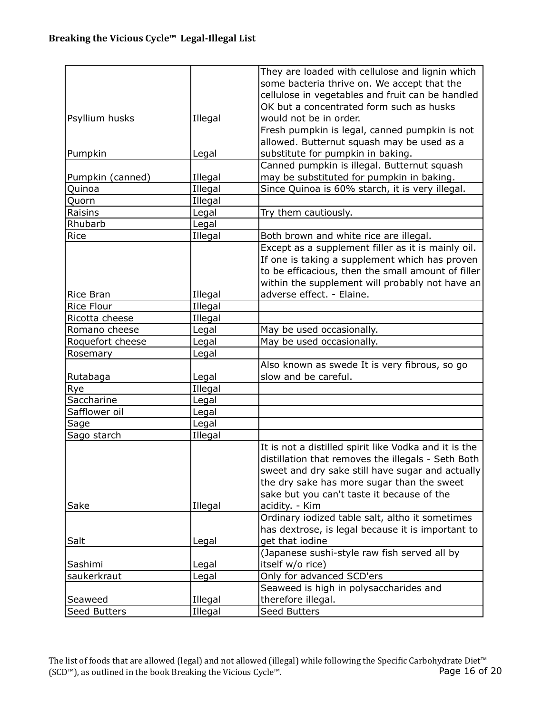|                     |         | They are loaded with cellulose and lignin which       |
|---------------------|---------|-------------------------------------------------------|
|                     |         | some bacteria thrive on. We accept that the           |
|                     |         | cellulose in vegetables and fruit can be handled      |
|                     |         | OK but a concentrated form such as husks              |
| Psyllium husks      | Illegal | would not be in order.                                |
|                     |         | Fresh pumpkin is legal, canned pumpkin is not         |
|                     |         | allowed. Butternut squash may be used as a            |
| Pumpkin             | Legal   | substitute for pumpkin in baking.                     |
|                     |         | Canned pumpkin is illegal. Butternut squash           |
| Pumpkin (canned)    | Illegal | may be substituted for pumpkin in baking.             |
| Quinoa              | Illegal | Since Quinoa is 60% starch, it is very illegal.       |
| Quorn               | Illegal |                                                       |
| Raisins             | Legal   | Try them cautiously.                                  |
| Rhubarb             | Legal   |                                                       |
| Rice                | Illegal | Both brown and white rice are illegal.                |
|                     |         | Except as a supplement filler as it is mainly oil.    |
|                     |         | If one is taking a supplement which has proven        |
|                     |         | to be efficacious, then the small amount of filler    |
|                     |         | within the supplement will probably not have an       |
| Rice Bran           | Illegal | adverse effect. - Elaine.                             |
| Rice Flour          | Illegal |                                                       |
| Ricotta cheese      | Illegal |                                                       |
| Romano cheese       | Legal   | May be used occasionally.                             |
| Roquefort cheese    | Legal   | May be used occasionally.                             |
| Rosemary            | Legal   |                                                       |
|                     |         | Also known as swede It is very fibrous, so go         |
| Rutabaga            | Legal   | slow and be careful.                                  |
| Rye                 | Illegal |                                                       |
| Saccharine          | Legal   |                                                       |
| Safflower oil       | Legal   |                                                       |
| Sage                | Legal   |                                                       |
|                     |         |                                                       |
| Sago starch         | Illegal |                                                       |
|                     |         | It is not a distilled spirit like Vodka and it is the |
|                     |         | distillation that removes the illegals - Seth Both    |
|                     |         | sweet and dry sake still have sugar and actually      |
|                     |         | the dry sake has more sugar than the sweet            |
|                     |         | sake but you can't taste it because of the            |
| Sake                | Illegal | acidity. - Kim                                        |
|                     |         | Ordinary iodized table salt, altho it sometimes       |
|                     |         | has dextrose, is legal because it is important to     |
| Salt                | Legal   | get that iodine                                       |
|                     |         | (Japanese sushi-style raw fish served all by          |
| Sashimi             | Legal   | itself w/o rice)                                      |
| saukerkraut         | Legal   | Only for advanced SCD'ers                             |
|                     |         | Seaweed is high in polysaccharides and                |
| Seaweed             | Illegal | therefore illegal.                                    |
| <b>Seed Butters</b> | Illegal | <b>Seed Butters</b>                                   |

The list of foods that are allowed (legal) and not allowed (illegal) while following the Specific Carbohydrate Diet™ (SCD™), as outlined in the book Breaking the Vicious Cycle™. Page 16 of 20 (SCD™), as outlined in the book Breaking the Vicious Cycle™.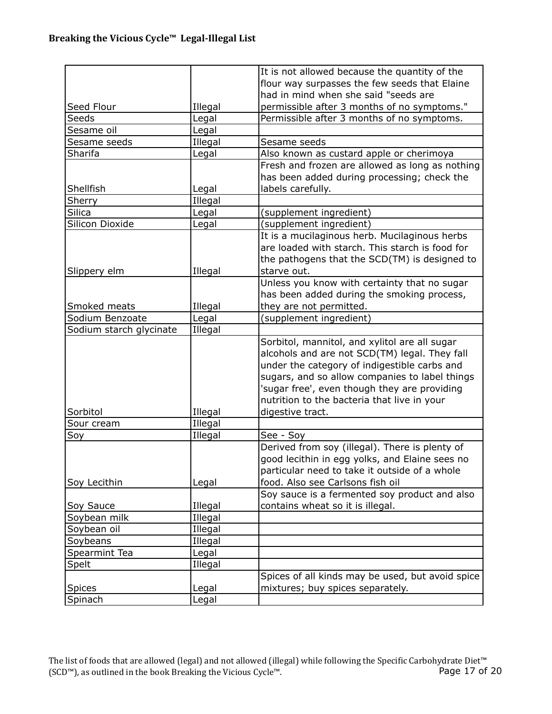|                         |         | It is not allowed because the quantity of the    |
|-------------------------|---------|--------------------------------------------------|
|                         |         | flour way surpasses the few seeds that Elaine    |
|                         |         | had in mind when she said "seeds are             |
| Seed Flour              | Illegal | permissible after 3 months of no symptoms."      |
| Seeds                   | Legal   | Permissible after 3 months of no symptoms.       |
| Sesame oil              | Legal   |                                                  |
| Sesame seeds            | Illegal | Sesame seeds                                     |
| Sharifa                 | Legal   | Also known as custard apple or cherimoya         |
|                         |         | Fresh and frozen are allowed as long as nothing  |
|                         |         | has been added during processing; check the      |
| Shellfish               | Legal   | labels carefully.                                |
| Sherry                  | Illegal |                                                  |
|                         |         |                                                  |
| <b>Silica</b>           | Legal   | (supplement ingredient)                          |
| Silicon Dioxide         | Legal   | (supplement ingredient)                          |
|                         |         | It is a mucilaginous herb. Mucilaginous herbs    |
|                         |         | are loaded with starch. This starch is food for  |
|                         |         | the pathogens that the SCD(TM) is designed to    |
| Slippery elm            | Illegal | starve out.                                      |
|                         |         | Unless you know with certainty that no sugar     |
|                         |         | has been added during the smoking process,       |
| Smoked meats            | Illegal | they are not permitted.                          |
| Sodium Benzoate         | Legal   | (supplement ingredient)                          |
| Sodium starch glycinate | Illegal |                                                  |
|                         |         | Sorbitol, mannitol, and xylitol are all sugar    |
|                         |         | alcohols and are not SCD(TM) legal. They fall    |
|                         |         | under the category of indigestible carbs and     |
|                         |         | sugars, and so allow companies to label things   |
|                         |         | 'sugar free', even though they are providing     |
|                         |         | nutrition to the bacteria that live in your      |
| Sorbitol                | Illegal | digestive tract.                                 |
| Sour cream              | Illegal |                                                  |
| Soy                     | Illegal | See - Soy                                        |
|                         |         | Derived from soy (illegal). There is plenty of   |
|                         |         | good lecithin in egg yolks, and Elaine sees no   |
|                         |         | particular need to take it outside of a whole    |
| Soy Lecithin            | Legal   | food. Also see Carlsons fish oil                 |
|                         |         | Soy sauce is a fermented soy product and also    |
| Soy Sauce               | Illegal | contains wheat so it is illegal.                 |
| Soybean milk            | Illegal |                                                  |
| Soybean oil             | Illegal |                                                  |
| Soybeans                | Illegal |                                                  |
| Spearmint Tea           | Legal   |                                                  |
| Spelt                   | Illegal |                                                  |
|                         |         | Spices of all kinds may be used, but avoid spice |
| <b>Spices</b>           | Legal   | mixtures; buy spices separately.                 |
| Spinach                 | Legal   |                                                  |
|                         |         |                                                  |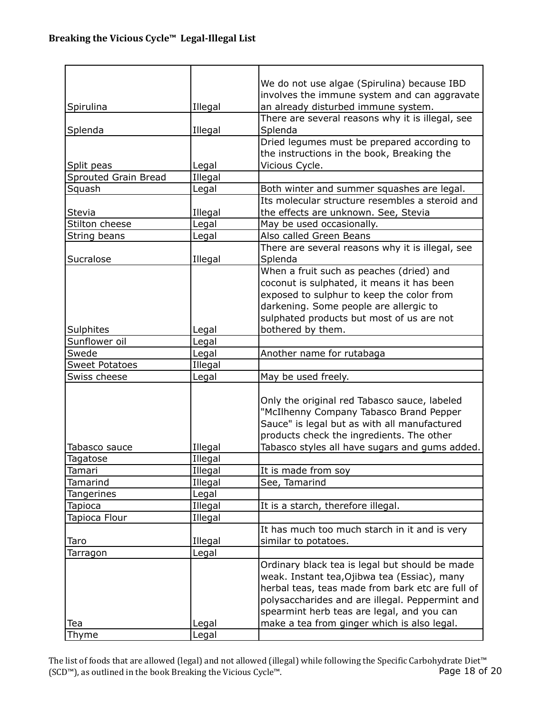|                       |         | We do not use algae (Spirulina) because IBD      |
|-----------------------|---------|--------------------------------------------------|
|                       |         | involves the immune system and can aggravate     |
| Spirulina             | Illegal | an already disturbed immune system.              |
|                       |         | There are several reasons why it is illegal, see |
| Splenda               | Illegal | Splenda                                          |
|                       |         | Dried legumes must be prepared according to      |
|                       |         | the instructions in the book, Breaking the       |
| Split peas            | Legal   | Vicious Cycle.                                   |
| Sprouted Grain Bread  | Illegal |                                                  |
| Squash                | Legal   | Both winter and summer squashes are legal.       |
|                       |         | Its molecular structure resembles a steroid and  |
| Stevia                | Illegal | the effects are unknown. See, Stevia             |
| Stilton cheese        | Legal   | May be used occasionally.                        |
| String beans          | Legal   | Also called Green Beans                          |
|                       |         | There are several reasons why it is illegal, see |
| Sucralose             | Illegal | Splenda                                          |
|                       |         | When a fruit such as peaches (dried) and         |
|                       |         | coconut is sulphated, it means it has been       |
|                       |         | exposed to sulphur to keep the color from        |
|                       |         | darkening. Some people are allergic to           |
|                       |         | sulphated products but most of us are not        |
| Sulphites             | Legal   | bothered by them.                                |
| Sunflower oil         | Legal   |                                                  |
| Swede                 | Legal   | Another name for rutabaga                        |
| <b>Sweet Potatoes</b> | Illegal |                                                  |
| Swiss cheese          | Legal   | May be used freely.                              |
|                       |         |                                                  |
|                       |         | Only the original red Tabasco sauce, labeled     |
|                       |         | "McIlhenny Company Tabasco Brand Pepper          |
|                       |         | Sauce" is legal but as with all manufactured     |
|                       |         | products check the ingredients. The other        |
| Tabasco sauce         | Illegal | Tabasco styles all have sugars and gums added.   |
| Tagatose              | Illegal |                                                  |
| Tamari                | Illegal | It is made from soy                              |
| Tamarind              | Illegal | See, Tamarind                                    |
| Tangerines            | Legal   |                                                  |
| Tapioca               | Illegal | It is a starch, therefore illegal.               |
| Tapioca Flour         |         |                                                  |
|                       | Illegal | It has much too much starch in it and is very    |
|                       |         |                                                  |
| Taro                  | Illegal | similar to potatoes.                             |
| Tarragon              | Legal   |                                                  |
|                       |         | Ordinary black tea is legal but should be made   |
|                       |         | weak. Instant tea, Ojibwa tea (Essiac), many     |
|                       |         | herbal teas, teas made from bark etc are full of |
|                       |         | polysaccharides and are illegal. Peppermint and  |
|                       |         | spearmint herb teas are legal, and you can       |
| Tea                   | Legal   | make a tea from ginger which is also legal.      |
| Thyme                 | Legal   |                                                  |

The list of foods that are allowed (legal) and not allowed (illegal) while following the Specific Carbohydrate Diet™ (SCD™), as outlined in the book Breaking the Vicious Cycle™. Page 18 of 20 (SCD™), as outlined in the book Breaking the Vicious Cycle™.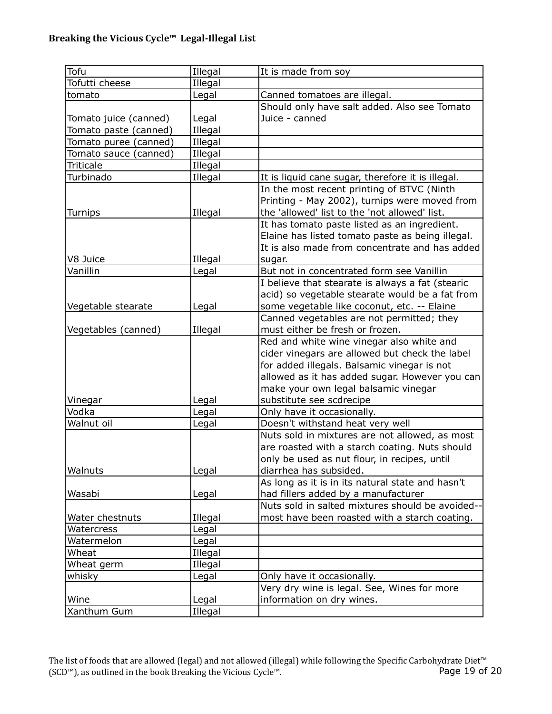## Breaking the Vicious Cycle<sup>™</sup> Legal-Illegal List

| Tofu                  | Illegal | It is made from soy                               |
|-----------------------|---------|---------------------------------------------------|
| Tofutti cheese        | Illegal |                                                   |
| tomato                | Legal   | Canned tomatoes are illegal.                      |
|                       |         | Should only have salt added. Also see Tomato      |
| Tomato juice (canned) | Legal   | Juice - canned                                    |
| Tomato paste (canned) | Illegal |                                                   |
| Tomato puree (canned) | Illegal |                                                   |
| Tomato sauce (canned) | Illegal |                                                   |
| Triticale             | Illegal |                                                   |
| Turbinado             | Illegal | It is liquid cane sugar, therefore it is illegal. |
|                       |         | In the most recent printing of BTVC (Ninth        |
|                       |         | Printing - May 2002), turnips were moved from     |
| Turnips               | Illegal | the 'allowed' list to the 'not allowed' list.     |
|                       |         | It has tomato paste listed as an ingredient.      |
|                       |         | Elaine has listed tomato paste as being illegal.  |
|                       |         | It is also made from concentrate and has added    |
| V8 Juice              | Illegal | sugar.                                            |
| Vanillin              | Legal   | But not in concentrated form see Vanillin         |
|                       |         | I believe that stearate is always a fat (stearic  |
|                       |         | acid) so vegetable stearate would be a fat from   |
| Vegetable stearate    | Legal   | some vegetable like coconut, etc. -- Elaine       |
|                       |         | Canned vegetables are not permitted; they         |
| Vegetables (canned)   | Illegal | must either be fresh or frozen.                   |
|                       |         | Red and white wine vinegar also white and         |
|                       |         | cider vinegars are allowed but check the label    |
|                       |         | for added illegals. Balsamic vinegar is not       |
|                       |         | allowed as it has added sugar. However you can    |
|                       |         | make your own legal balsamic vinegar              |
| Vinegar               | Legal   | substitute see scdrecipe                          |
| Vodka                 | Legal   | Only have it occasionally.                        |
| Walnut oil            | Legal   | Doesn't withstand heat very well                  |
|                       |         | Nuts sold in mixtures are not allowed, as most    |
|                       |         | are roasted with a starch coating. Nuts should    |
|                       |         | only be used as nut flour, in recipes, until      |
| Walnuts               | Legal   | diarrhea has subsided.                            |
|                       |         | As long as it is in its natural state and hasn't  |
| Wasabi                | Legal   | had fillers added by a manufacturer               |
|                       |         | Nuts sold in salted mixtures should be avoided--  |
| Water chestnuts       | Illegal | most have been roasted with a starch coating.     |
| Watercress            | Legal   |                                                   |
| Watermelon            | Legal   |                                                   |
| Wheat                 | Illegal |                                                   |
| Wheat germ            | Illegal |                                                   |
| whisky                | Legal   | Only have it occasionally.                        |
|                       |         | Very dry wine is legal. See, Wines for more       |
| Wine                  | Legal   | information on dry wines.                         |
| Xanthum Gum           | Illegal |                                                   |

The list of foods that are allowed (legal) and not allowed (illegal) while following the Specific Carbohydrate Diet™ (SCD™), as outlined in the book Breaking the Vicious Cycle™. Page 19 of 20 (SCD™), as outlined in the book Breaking the Vicious Cycle™.